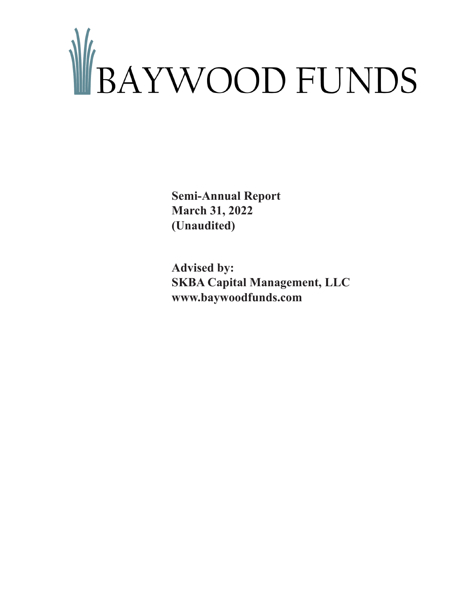

**Semi-Annual Report March 31, 2022 (Unaudited)**

**Advised by: SKBA Capital Management, LLC www.baywoodfunds.com**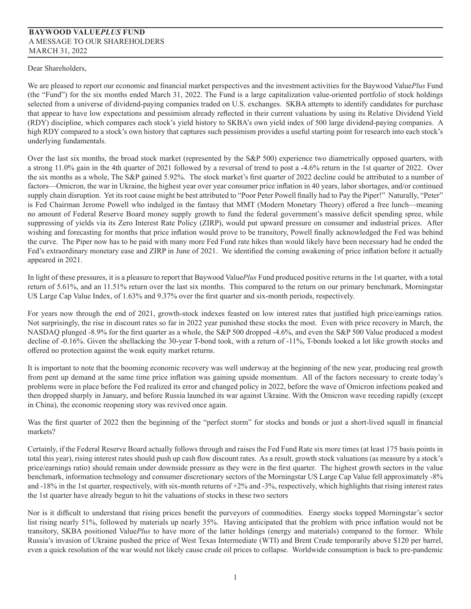#### **BAYWOOD VALUE***PLUS* **FUND** A MESSAGE TO OUR SHAREHOLDERS MARCH 31, 2022

#### Dear Shareholders,

We are pleased to report our economic and financial market perspectives and the investment activities for the Baywood Value*Plus* Fund (the "Fund") for the six months ended March 31, 2022. The Fund is a large capitalization value-oriented portfolio of stock holdings selected from a universe of dividend-paying companies traded on U.S. exchanges. SKBA attempts to identify candidates for purchase that appear to have low expectations and pessimism already reflected in their current valuations by using its Relative Dividend Yield (RDY) discipline, which compares each stock's yield history to SKBA's own yield index of 500 large dividend-paying companies. A high RDY compared to a stock's own history that captures such pessimism provides a useful starting point for research into each stock's underlying fundamentals.

Over the last six months, the broad stock market (represented by the S&P 500) experience two diametrically opposed quarters, with a strong 11.0% gain in the 4th quarter of 2021 followed by a reversal of trend to post a -4.6% return in the 1st quarter of 2022. Over the six months as a whole, The S&P gained 5.92%. The stock market's first quarter of 2022 decline could be attributed to a number of factors—Omicron, the war in Ukraine, the highest year over year consumer price inflation in 40 years, labor shortages, and/or continued supply chain disruption. Yet its root cause might be best attributed to "Poor Peter Powell finally had to Pay the Piper!" Naturally, "Peter" is Fed Chairman Jerome Powell who indulged in the fantasy that MMT (Modern Monetary Theory) offered a free lunch—meaning no amount of Federal Reserve Board money supply growth to fund the federal government's massive deficit spending spree, while suppressing of yields via its Zero Interest Rate Policy (ZIRP), would put upward pressure on consumer and industrial prices. After wishing and forecasting for months that price inflation would prove to be transitory, Powell finally acknowledged the Fed was behind the curve. The Piper now has to be paid with many more Fed Fund rate hikes than would likely have been necessary had he ended the Fed's extraordinary monetary ease and ZIRP in June of 2021. We identified the coming awakening of price inflation before it actually appeared in 2021.

In light of these pressures, it is a pleasure to report that Baywood Value*Plus* Fund produced positive returns in the 1st quarter, with a total return of 5.61%, and an 11.51% return over the last six months. This compared to the return on our primary benchmark, Morningstar US Large Cap Value Index, of 1.63% and 9.37% over the first quarter and six-month periods, respectively.

For years now through the end of 2021, growth-stock indexes feasted on low interest rates that justified high price/earnings ratios. Not surprisingly, the rise in discount rates so far in 2022 year punished these stocks the most. Even with price recovery in March, the NASDAQ plunged -8.9% for the first quarter as a whole, the S&P 500 dropped -4.6%, and even the S&P 500 Value produced a modest decline of -0.16%. Given the shellacking the 30-year T-bond took, with a return of -11%, T-bonds looked a lot like growth stocks and offered no protection against the weak equity market returns.

It is important to note that the booming economic recovery was well underway at the beginning of the new year, producing real growth from pent up demand at the same time price inflation was gaining upside momentum. All of the factors necessary to create today's problems were in place before the Fed realized its error and changed policy in 2022, before the wave of Omicron infections peaked and then dropped sharply in January, and before Russia launched its war against Ukraine. With the Omicron wave receding rapidly (except in China), the economic reopening story was revived once again.

Was the first quarter of 2022 then the beginning of the "perfect storm" for stocks and bonds or just a short-lived squall in financial markets?

Certainly, if the Federal Reserve Board actually follows through and raises the Fed Fund Rate six more times (at least 175 basis points in total this year), rising interest rates should push up cash flow discount rates. As a result, growth stock valuations (as measure by a stock's price/earnings ratio) should remain under downside pressure as they were in the first quarter. The highest growth sectors in the value benchmark, information technology and consumer discretionary sectors of the Morningstar US Large Cap Value fell approximately -8% and -18% in the 1st quarter, respectively, with six-month returns of +2% and -3%, respectively, which highlights that rising interest rates the 1st quarter have already begun to hit the valuations of stocks in these two sectors

Nor is it difficult to understand that rising prices benefit the purveyors of commodities. Energy stocks topped Morningstar's sector list rising nearly 51%, followed by materials up nearly 35%. Having anticipated that the problem with price inflation would not be transitory, SKBA positioned Value*Plus* to have more of the latter holdings (energy and materials) compared to the former. While Russia's invasion of Ukraine pushed the price of West Texas Intermediate (WTI) and Brent Crude temporarily above \$120 per barrel, even a quick resolution of the war would not likely cause crude oil prices to collapse. Worldwide consumption is back to pre-pandemic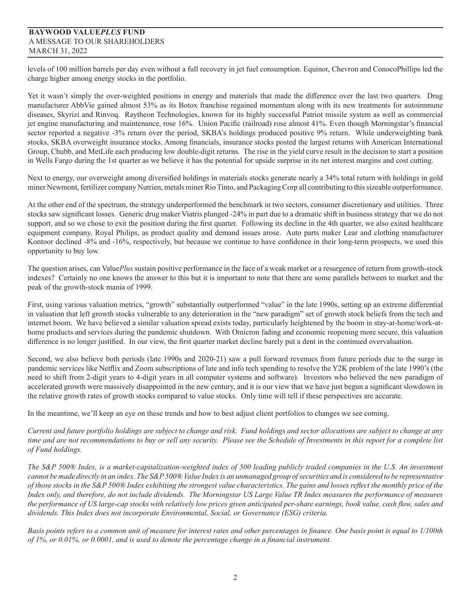#### **BAYWOOD VALUE***PLUS* **FUND** A MESSAGE TO OUR SHAREHOLDERS MARCH 31, 2022

levels of 100 million barrels per day even without a full recovery in jet fuel consumption. Equinor, Chevron and ConocoPhillips led the charge higher among energy stocks in the portfolio.

Yet it wasn't simply the over-weighted positions in energy and materials that made the difference over the last two quarters. Drug manufacturer AbbVie gained almost 53% as its Botox franchise regained momentum along with its new treatments for autoimmune diseases, Skyrizi and Rinvoq. Raytheon Technologies, known for its highly successful Patriot missile system as well as commercial jet engine manufacturing and maintenance, rose 16%. Union Pacific (railroad) rose almost 41%. Even though Morningstar's financial sector reported a negative -3% return over the period, SKBA's holdings produced positive 9% return. While underweighting bank stocks, SKBA overweight insurance stocks. Among financials, insurance stocks posted the largest returns with American International Group, Chubb, and MetLife each producing low double-digit returns. The rise in the yield curve result in the decision to start a position in Wells Fargo during the 1st quarter as we believe it has the potential for upside surprise in its net interest margins and cost cutting.

Next to energy, our overweight among diversified holdings in materials stocks generate nearly a 34% total return with holdings in gold miner Newmont, fertilizer company Nutrien, metals miner Rio Tinto, and Packaging Corp all contributing to this sizeable outperformance.

At the other end of the spectrum, the strategy underperformed the benchmark in two sectors, consumer discretionary and utilities. Three stocks saw significant losses. Generic drug maker Viatris plunged -24% in part due to a dramatic shift in business strategy that we do not support, and so we chose to exit the position during the first quarter. Following its decline in the 4th quarter, we also exited healthcare equipment company, Royal Philips, as product quality and demand issues arose. Auto parts maker Lear and clothing manufacturer Kontoor declined -8% and -16%, respectively, but because we continue to have confidence in their long-term prospects, we used this opportunity to buy low.

The question arises, can Value*Plus* sustain positive performance in the face of a weak market or a resurgence of return from growth-stock indexes? Certainly no one knows the answer to this but it is important to note that there are some parallels between to market and the peak of the growth-stock mania of 1999.

First, using various valuation metrics, "growth" substantially outperformed "value" in the late 1990s, setting up an extreme differential in valuation that left growth stocks vulnerable to any deterioration in the "new paradigm" set of growth stock beliefs from the tech and internet boom. We have believed a similar valuation spread exists today, particularly heightened by the boom in stay-at-home/work-athome products and services during the pandemic shutdown. With Omicron fading and economic reopening more secure, this valuation difference is no longer justified. In our view, the first quarter market decline barely put a dent in the continued overvaluation.

Second, we also believe both periods (late 1990s and 2020-21) saw a pull forward revenues from future periods due to the surge in pandemic services like Netflix and Zoom subscriptions of late and info tech spending to resolve the Y2K problem of the late 1990's (the need to shift from 2-digit years to 4-digit years in all computer systems and software). Investors who believed the new paradigm of accelerated growth were massively disappointed in the new century, and it is our view that we have just begun a significant slowdown in the relative growth rates of growth stocks compared to value stocks. Only time will tell if these perspectives are accurate.

In the meantime, we'll keep an eye on these trends and how to best adjust client portfolios to changes we see coming.

*Current and future portfolio holdings are subject to change and risk. Fund holdings and sector allocations are subject to change at any time and are not recommendations to buy or sell any security. Please see the Schedule of Investments in this report for a complete list of Fund holdings.*

*The S&P 500® Index, is a market-capitalization-weighted index of 500 leading publicly traded companies in the U.S. An investment cannot be made directly in an index. The S&P 500® Value Index is an unmanaged group of securities and is considered to be representative of those stocks in the S&P 500® Index exhibiting the strongest value characteristics. The gains and losses reflect the monthly price of the Index only, and therefore, do not include dividends. The Morningstar US Large Value TR Index measures the performance of measures the performance of US large-cap stocks with relatively low prices given anticipated per-share earnings, book value, cash flow, sales and dividends. This Index does not incorporate Environmental, Social, or Governance (ESG) criteria.*

*Basis points refers to a common unit of measure for interest rates and other percentages in finance. One basis point is equal to 1/100th of 1%, or 0.01%, or 0.0001, and is used to denote the percentage change in a financial instrument.*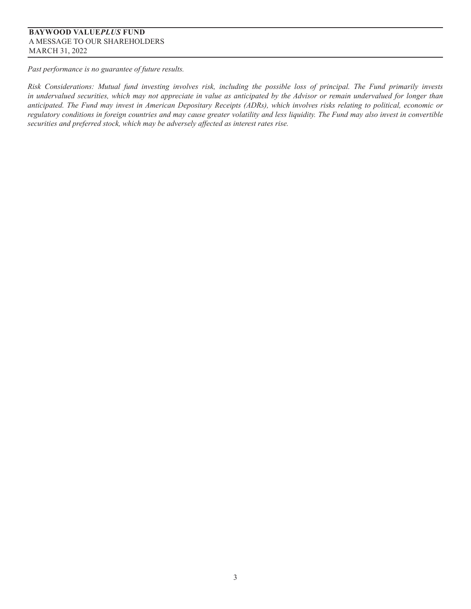# **BAYWOOD VALUE***PLUS* **FUND** A MESSAGE TO OUR SHAREHOLDERS MARCH 31, 2022

*Past performance is no guarantee of future results.* 

*Risk Considerations: Mutual fund investing involves risk, including the possible loss of principal. The Fund primarily invests in undervalued securities, which may not appreciate in value as anticipated by the Advisor or remain undervalued for longer than anticipated. The Fund may invest in American Depositary Receipts (ADRs), which involves risks relating to political, economic or regulatory conditions in foreign countries and may cause greater volatility and less liquidity. The Fund may also invest in convertible securities and preferred stock, which may be adversely affected as interest rates rise.*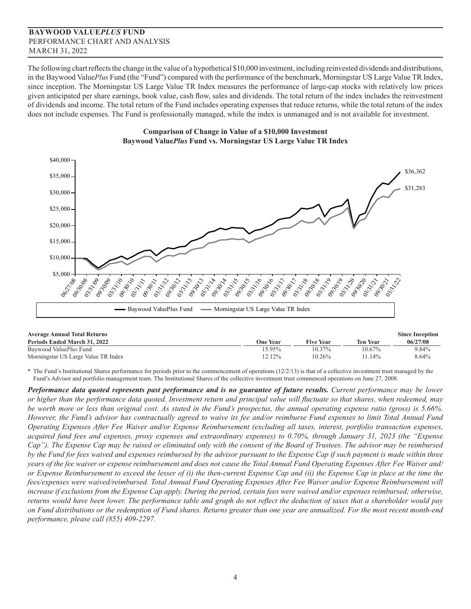#### **BAYWOOD VALUE***PLUS* **FUND** PERFORMANCE CHART AND ANALYSIS MARCH 31, 2022

The following chart reflects the change in the value of a hypothetical \$10,000 investment, including reinvested dividends and distributions, in the Baywood Value*Plus* Fund (the "Fund") compared with the performance of the benchmark, Morningstar US Large Value TR Index, since inception. The Morningstar US Large Value TR Index measures the performance of large-cap stocks with relatively low prices given anticipated per share earnings, book value, cash flow, sales and dividends. The total return of the index includes the reinvestment of dividends and income. The total return of the Fund includes operating expenses that reduce returns, while the total return of the index does not include expenses. The Fund is professionally managed, while the index is unmanaged and is not available for investment.





| <b>Average Annual Total Returns</b> |                 |                  |                 | <b>Since Inception</b> |
|-------------------------------------|-----------------|------------------|-----------------|------------------------|
| <b>Periods Ended March 31, 2022</b> | <b>One Year</b> | <b>Five Year</b> | <b>Ten Year</b> | 06/27/08               |
| Baywood ValuePlus Fund              | 15.95%          | 10.37%           | 10.67%          | 9.84%                  |
| Morningstar US Large Value TR Index | 12.12%          | 10.26%           | $11.14\%$       | 8.64%                  |

\* The Fund's Institutional Shares performance for periods prior to the commencement of operations (12/2/13) is that of a collective investment trust managed by the Fund's Advisor and portfolio management team. The Institutional Shares of the collective investment trust commenced operations on June 27, 2008.

*Performance data quoted represents past performance and is no guarantee of future results. Current performance may be lower or higher than the performance data quoted. Investment return and principal value will fluctuate so that shares, when redeemed, may be worth more or less than original cost. As stated in the Fund's prospectus, the annual operating expense ratio (gross) is 5.66%. However, the Fund's advisor has contractually agreed to waive its fee and/or reimburse Fund expenses to limit Total Annual Fund Operating Expenses After Fee Waiver and/or Expense Reimbursement (excluding all taxes, interest, portfolio transaction expenses, acquired fund fees and expenses, proxy expenses and extraordinary expenses) to 0.70%, through January 31, 2023 (the "Expense Cap"). The Expense Cap may be raised or eliminated only with the consent of the Board of Trustees. The advisor may be reimbursed by the Fund for fees waived and expenses reimbursed by the advisor pursuant to the Expense Cap if such payment is made within three years of the fee waiver or expense reimbursement and does not cause the Total Annual Fund Operating Expenses After Fee Waiver and/ or Expense Reimbursement to exceed the lesser of (i) the then-current Expense Cap and (ii) the Expense Cap in place at the time the fees/expenses were waived/reimbursed. Total Annual Fund Operating Expenses After Fee Waiver and/or Expense Reimbursement will increase if exclusions from the Expense Cap apply. During the period, certain fees were waived and/or expenses reimbursed; otherwise, returns would have been lower. The performance table and graph do not reflect the deduction of taxes that a shareholder would pay on Fund distributions or the redemption of Fund shares. Returns greater than one year are annualized. For the most recent month-end performance, please call (855) 409-2297.*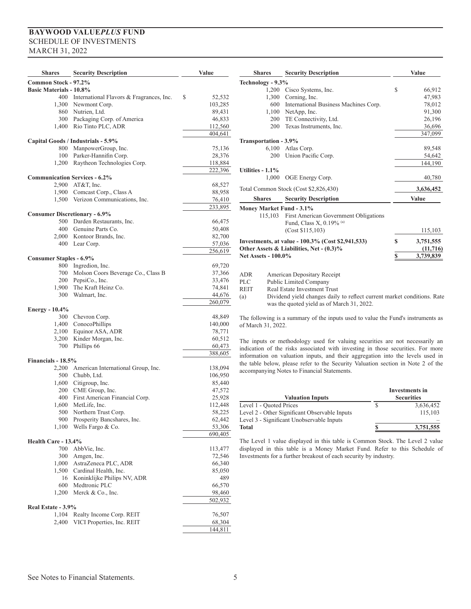# **BAYWOOD VALUE***PLUS* **FUND** SCHEDULE OF INVESTMENTS MARCH 31, 2022

| <b>Shares</b>                        | <b>Security Description</b><br>Value         |                   |
|--------------------------------------|----------------------------------------------|-------------------|
| Common Stock - 97.2%                 |                                              |                   |
| <b>Basic Materials - 10.8%</b>       |                                              |                   |
|                                      | 400 International Flavors & Fragrances, Inc. | \$<br>52,532      |
|                                      | 1,300 Newmont Corp.                          | 103,285           |
|                                      | 860 Nutrien, Ltd.                            | 89,431            |
|                                      | 300 Packaging Corp. of America               | 46,833            |
| 1,400                                | Rio Tinto PLC, ADR                           | 112,560           |
|                                      |                                              | 404,641           |
|                                      | Capital Goods / Industrials - 5.9%           |                   |
|                                      | 800 ManpowerGroup, Inc.                      | 75,136            |
| 100                                  | Parker-Hannifin Corp.                        | 28,376            |
| 1,200                                | Raytheon Technologies Corp.                  | 118,884           |
|                                      |                                              | 222,396           |
| <b>Communication Services - 6.2%</b> |                                              |                   |
|                                      | 2,900 AT&T, Inc.                             | 68,527            |
| 1,900                                | Comcast Corp., Class A                       | 88,958            |
|                                      | 1,500 Verizon Communications, Inc.           | 76,410            |
|                                      |                                              | 233,895           |
| <b>Consumer Discretionary - 6.9%</b> |                                              |                   |
|                                      | 500 Darden Restaurants, Inc.                 | 66,475            |
| 400                                  | Genuine Parts Co.                            | 50,408            |
|                                      | 2,000 Kontoor Brands, Inc.                   | 82,700            |
| 400                                  | Lear Corp.                                   | 57,036            |
|                                      |                                              | 256,619           |
| <b>Consumer Staples - 6.9%</b>       |                                              |                   |
| 800                                  | Ingredion, Inc.                              | 69,720            |
| 700                                  | Molson Coors Beverage Co., Class B           | 37,366            |
| 200                                  | PepsiCo., Inc.                               | 33,476            |
| 1,900                                | The Kraft Heinz Co.                          | 74,841            |
| 300                                  | Walmart, Inc.                                | 44,676            |
|                                      |                                              | 260,079           |
| <b>Energy - 10.4%</b>                |                                              |                   |
| 300                                  | Chevron Corp.                                | 48,849            |
|                                      | 1,400 ConocoPhillips                         | 140,000           |
| 2,100                                | Equinor ASA, ADR                             | 78,771            |
| 3,200                                | Kinder Morgan, Inc.                          | 60,512            |
| 700                                  | Phillips 66                                  | 60,473            |
|                                      |                                              | 388,605           |
| Financials - 18.5%                   |                                              |                   |
| 2,200                                | American International Group, Inc.           | 138,094           |
|                                      | 500 Chubb, Ltd.                              | 106,950           |
|                                      | 1,600 Citigroup, Inc.                        | 85,440            |
| 200                                  | CME Group, Inc.                              | 47,572            |
| 400                                  | First American Financial Corp.               | 25,928            |
| 1,600                                | MetLife, Inc.                                | 112,448           |
| 500                                  | Northern Trust Corp.                         | 58,225            |
| 900                                  | Prosperity Bancshares, Inc.                  | 62,442            |
| 1,100                                | Wells Fargo & Co.                            | 53,306            |
|                                      |                                              | 690,405           |
| Health Care - 13.4%                  |                                              |                   |
| 700                                  | AbbVie, Inc.                                 | 113,477           |
| 300                                  | Amgen, Inc.                                  | 72,546            |
| 1,000                                | AstraZeneca PLC, ADR                         | 66,340            |
| 1,500                                | Cardinal Health, Inc.                        | 85,050            |
| 16                                   | Koninklijke Philips NV, ADR                  | 489               |
| 600                                  | Medtronic PLC                                | 66,570            |
|                                      |                                              |                   |
| 1,200                                | Merck & Co., Inc.                            | 98,460            |
|                                      |                                              | 502,932           |
| Real Estate - 3.9%                   |                                              |                   |
| 1,104                                | Realty Income Corp. REIT                     | 76,507            |
| 2,400                                | VICI Properties, Inc. REIT                   | 68,304<br>144,811 |
|                                      |                                              |                   |

| <b>Shares</b>                       | <b>Security Description</b>                                                            | Value        |           |
|-------------------------------------|----------------------------------------------------------------------------------------|--------------|-----------|
| Technology - 9.3%                   |                                                                                        |              |           |
| 1,200                               | Cisco Systems, Inc.                                                                    | $\mathbb{S}$ | 66,912    |
| 1,300                               | Corning, Inc.                                                                          |              | 47,983    |
| 600                                 | International Business Machines Corp.                                                  |              | 78,012    |
| 1,100                               | NetApp, Inc.                                                                           |              | 91,300    |
| 200                                 | TE Connectivity, Ltd.                                                                  |              | 26,196    |
| 200                                 | Texas Instruments, Inc.                                                                |              | 36,696    |
|                                     |                                                                                        |              | 347,099   |
| <b>Transportation - 3.9%</b>        |                                                                                        |              |           |
| 6,100                               | Atlas Corp.                                                                            |              | 89,548    |
| 200                                 | Union Pacific Corp.                                                                    |              | 54,642    |
|                                     |                                                                                        |              | 144,190   |
| Utilities - $1.1\%$                 |                                                                                        |              |           |
| 1,000                               | OGE Energy Corp.                                                                       |              | 40,780    |
|                                     | Total Common Stock (Cost \$2,826,430)                                                  |              | 3,636,452 |
| <b>Shares</b>                       | <b>Security Description</b>                                                            | <b>Value</b> |           |
| Money Market Fund - 3.1%<br>115,103 | First American Government Obligations<br>Fund, Class X, 0.19% (a)<br>(Cost \$115, 103) |              | 115,103   |
|                                     | Investments, at value - 100.3% (Cost \$2,941,533)                                      | S            | 3,751,555 |
|                                     | Other Assets & Liabilities, Net - (0.3)%                                               |              | (11,716)  |
| <b>Net Assets - 100.0%</b>          |                                                                                        | \$           | 3,739,839 |
|                                     |                                                                                        |              |           |
| <b>ADR</b>                          | American Depositary Receipt                                                            |              |           |
| <b>PLC</b>                          | Public Limited Company                                                                 |              |           |
| <b>REIT</b>                         | Real Estate Investment Trust                                                           |              |           |
| (a)                                 | Dividend yield changes daily to reflect current market conditions. Rate                |              |           |

was the quoted yield as of March 31, 2022.

The following is a summary of the inputs used to value the Fund's instruments as of March 31, 2022.

The inputs or methodology used for valuing securities are not necessarily an indication of the risks associated with investing in those securities. For more information on valuation inputs, and their aggregation into the levels used in the table below, please refer to the Security Valuation section in Note 2 of the accompanying Notes to Financial Statements.

|                                               | <b>Investments in</b> |
|-----------------------------------------------|-----------------------|
| <b>Valuation Inputs</b>                       | <b>Securities</b>     |
| Level 1 - Quoted Prices                       | 3,636,452             |
| Level 2 - Other Significant Observable Inputs | 115,103               |
| Level 3 - Significant Unobservable Inputs     |                       |
| Total                                         | 3,751,555             |

The Level 1 value displayed in this table is Common Stock. The Level 2 value displayed in this table is a Money Market Fund. Refer to this Schedule of Investments for a further breakout of each security by industry.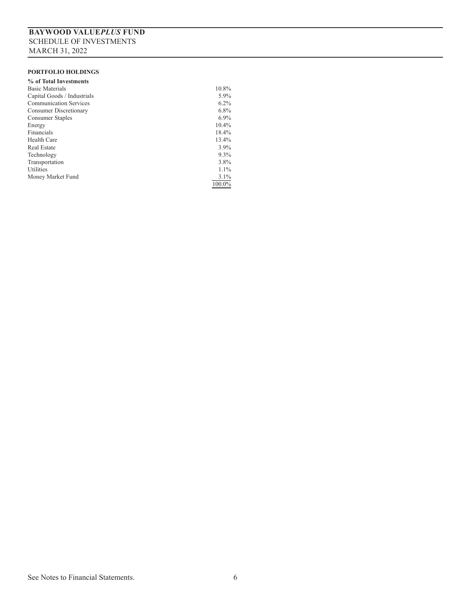# **PORTFOLIO HOLDINGS**

| % of Total Investments        |         |
|-------------------------------|---------|
| <b>Basic Materials</b>        | 10.8%   |
| Capital Goods / Industrials   | 5.9%    |
| <b>Communication Services</b> | 6.2%    |
| <b>Consumer Discretionary</b> | 6.8%    |
| Consumer Staples              | 6.9%    |
| Energy                        | 10.4%   |
| Financials                    | 18.4%   |
| Health Care                   | 13.4%   |
| <b>Real Estate</b>            | 3.9%    |
| Technology                    | 9.3%    |
| Transportation                | 3.8%    |
| Utilities                     | $1.1\%$ |
| Money Market Fund             | 3.1%    |
|                               | 100.0%  |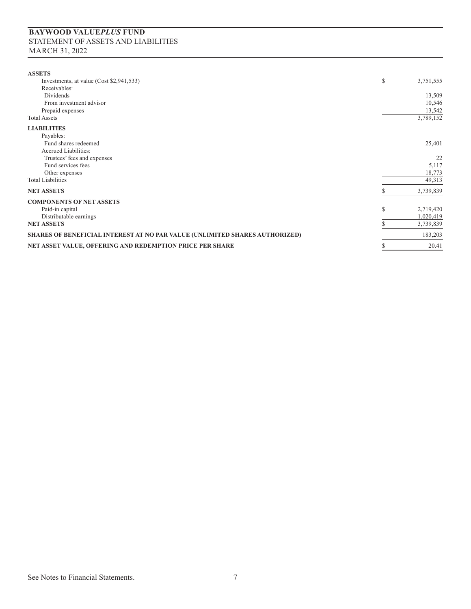# **BAYWOOD VALUE***PLUS* **FUND** STATEMENT OF ASSETS AND LIABILITIES MARCH 31, 2022

| <b>ASSETS</b>                                                               |           |
|-----------------------------------------------------------------------------|-----------|
| \$<br>Investments, at value (Cost \$2,941,533)                              | 3,751,555 |
| Receivables:                                                                |           |
| Dividends                                                                   | 13,509    |
| From investment advisor                                                     | 10,546    |
| Prepaid expenses                                                            | 13,542    |
| <b>Total Assets</b>                                                         | 3,789,152 |
| <b>LIABILITIES</b>                                                          |           |
| Payables:                                                                   |           |
| Fund shares redeemed                                                        | 25,401    |
| <b>Accrued Liabilities:</b>                                                 |           |
| Trustees' fees and expenses                                                 | 22        |
| Fund services fees                                                          | 5,117     |
| Other expenses                                                              | 18,773    |
| <b>Total Liabilities</b>                                                    | 49,313    |
| <b>NET ASSETS</b>                                                           | 3,739,839 |
| <b>COMPONENTS OF NET ASSETS</b>                                             |           |
| S<br>Paid-in capital                                                        | 2,719,420 |
| Distributable earnings                                                      | 1,020,419 |
| <b>NET ASSETS</b>                                                           | 3,739,839 |
| SHARES OF BENEFICIAL INTEREST AT NO PAR VALUE (UNLIMITED SHARES AUTHORIZED) | 183,203   |
| NET ASSET VALUE, OFFERING AND REDEMPTION PRICE PER SHARE                    | 20.41     |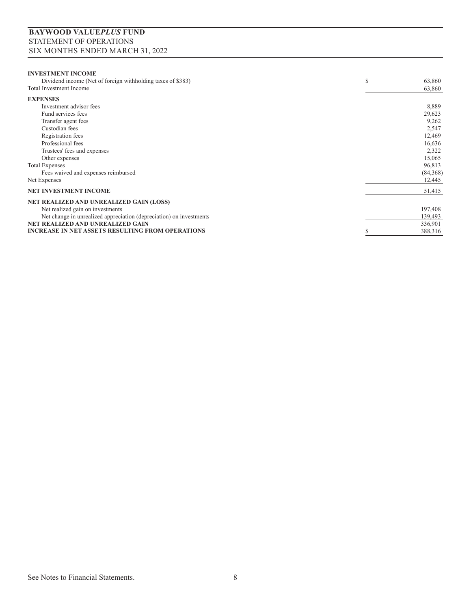#### **INVESTMENT INCOME**

| INVESTMENT INCOME                                                   |          |
|---------------------------------------------------------------------|----------|
| Dividend income (Net of foreign withholding taxes of \$383)         | 63,860   |
| Total Investment Income                                             | 63,860   |
| <b>EXPENSES</b>                                                     |          |
| Investment advisor fees                                             | 8,889    |
| Fund services fees                                                  | 29,623   |
| Transfer agent fees                                                 | 9,262    |
| Custodian fees                                                      | 2,547    |
| Registration fees                                                   | 12,469   |
| Professional fees                                                   | 16,636   |
| Trustees' fees and expenses                                         | 2,322    |
| Other expenses                                                      | 15,065   |
| <b>Total Expenses</b>                                               | 96,813   |
| Fees waived and expenses reimbursed                                 | (84,368) |
| Net Expenses                                                        | 12,445   |
| <b>NET INVESTMENT INCOME</b>                                        | 51,415   |
| NET REALIZED AND UNREALIZED GAIN (LOSS)                             |          |
| Net realized gain on investments                                    | 197,408  |
| Net change in unrealized appreciation (depreciation) on investments | 139,493  |
| <b>NET REALIZED AND UNREALIZED GAIN</b>                             | 336,901  |
| <b>INCREASE IN NET ASSETS RESULTING FROM OPERATIONS</b>             | 388,316  |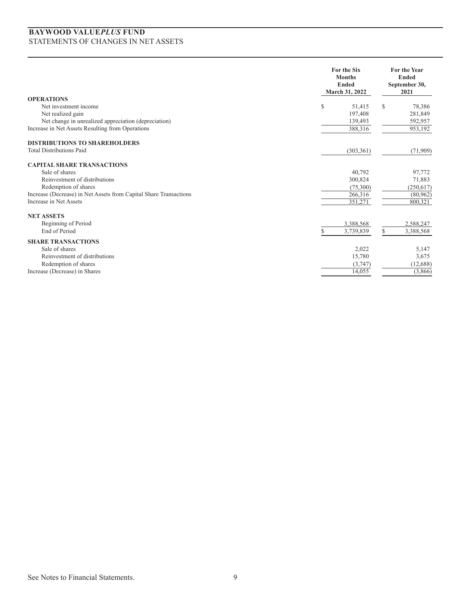# **BAYWOOD VALUE***PLUS* **FUND** STATEMENTS OF CHANGES IN NET ASSETS

|                                                                           | <b>For the Six</b><br><b>Months</b><br><b>Ended</b><br>March 31, 2022 | <b>For the Year</b><br><b>Ended</b><br>September 30,<br>2021 |  |  |
|---------------------------------------------------------------------------|-----------------------------------------------------------------------|--------------------------------------------------------------|--|--|
| <b>OPERATIONS</b>                                                         |                                                                       |                                                              |  |  |
| Net investment income                                                     | \$<br>51,415<br>197,408                                               | $\mathbb{S}$<br>78,386<br>281,849                            |  |  |
| Net realized gain<br>Net change in unrealized appreciation (depreciation) | 139,493                                                               | 592,957                                                      |  |  |
| Increase in Net Assets Resulting from Operations                          | 388,316                                                               | 953,192                                                      |  |  |
| <b>DISTRIBUTIONS TO SHAREHOLDERS</b>                                      |                                                                       |                                                              |  |  |
| <b>Total Distributions Paid</b>                                           | (303, 361)                                                            | (71,909)                                                     |  |  |
| <b>CAPITAL SHARE TRANSACTIONS</b>                                         |                                                                       |                                                              |  |  |
| Sale of shares                                                            | 40,792                                                                | 97,772                                                       |  |  |
| Reinvestment of distributions                                             | 300,824                                                               | 71,883                                                       |  |  |
| Redemption of shares                                                      | (75,300)                                                              | (250, 617)                                                   |  |  |
| Increase (Decrease) in Net Assets from Capital Share Transactions         | 266,316                                                               | (80,962)                                                     |  |  |
| Increase in Net Assets                                                    | 351,271                                                               | 800,321                                                      |  |  |
| <b>NET ASSETS</b>                                                         |                                                                       |                                                              |  |  |
| Beginning of Period                                                       | 3,388,568                                                             | 2,588,247                                                    |  |  |
| End of Period                                                             | \$<br>3,739,839                                                       | \$<br>3,388,568                                              |  |  |
| <b>SHARE TRANSACTIONS</b>                                                 |                                                                       |                                                              |  |  |
| Sale of shares                                                            | 2,022                                                                 | 5,147                                                        |  |  |
| Reinvestment of distributions                                             | 15,780                                                                | 3,675                                                        |  |  |
| Redemption of shares                                                      | (3,747)                                                               | (12,688)                                                     |  |  |
| Increase (Decrease) in Shares                                             | 14,055                                                                | (3,866)                                                      |  |  |
|                                                                           |                                                                       |                                                              |  |  |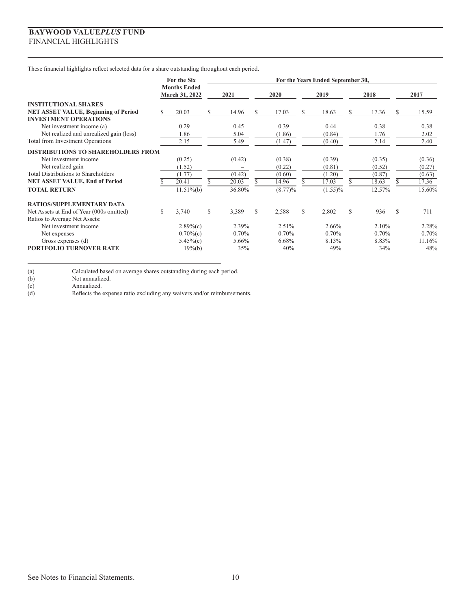# **BAYWOOD VALUE***PLUS* **FUND** FINANCIAL HIGHLIGHTS

These financial highlights reflect selected data for a share outstanding throughout each period.

|                                                                             |   | For the Six                                  | For the Years Ended September 30, |          |   |            |    |            |    |        |     |        |
|-----------------------------------------------------------------------------|---|----------------------------------------------|-----------------------------------|----------|---|------------|----|------------|----|--------|-----|--------|
|                                                                             |   | <b>Months Ended</b><br><b>March 31, 2022</b> |                                   | 2021     |   | 2020       |    | 2019       |    | 2018   |     | 2017   |
| <b>INSTITUTIONAL SHARES</b>                                                 |   |                                              |                                   |          |   |            |    |            |    |        |     |        |
| <b>NET ASSET VALUE, Beginning of Period</b><br><b>INVESTMENT OPERATIONS</b> | S | 20.03                                        |                                   | 14.96    |   | 17.03      | S  | 18.63      |    | 17.36  |     | 15.59  |
| Net investment income (a)                                                   |   | 0.29                                         |                                   | 0.45     |   | 0.39       |    | 0.44       |    | 0.38   |     | 0.38   |
| Net realized and unrealized gain (loss)                                     |   | 1.86                                         |                                   | 5.04     |   | (1.86)     |    | (0.84)     |    | 1.76   |     | 2.02   |
| Total from Investment Operations                                            |   | 2.15                                         |                                   | 5.49     |   | (1.47)     |    | (0.40)     |    | 2.14   |     | 2.40   |
| <b>DISTRIBUTIONS TO SHAREHOLDERS FROM</b>                                   |   |                                              |                                   |          |   |            |    |            |    |        |     |        |
| Net investment income                                                       |   | (0.25)                                       |                                   | (0.42)   |   | (0.38)     |    | (0.39)     |    | (0.35) |     | (0.36) |
| Net realized gain                                                           |   | (1.52)                                       |                                   |          |   | (0.22)     |    | (0.81)     |    | (0.52) |     | (0.27) |
| <b>Total Distributions to Shareholders</b>                                  |   | (1.77)                                       |                                   | (0.42)   |   | (0.60)     |    | (1.20)     |    | (0.87) |     | (0.63) |
| NET ASSET VALUE, End of Period                                              |   | 20.41                                        | S                                 | 20.03    |   | 14.96      | S  | 17.03      | S. | 18.63  | S   | 17.36  |
| <b>TOTAL RETURN</b>                                                         |   | $11.51\%$ (b)                                |                                   | 36.80%   |   | $(8.77)\%$ |    | $(1.55)\%$ |    | 12.57% |     | 15.60% |
| <b>RATIOS/SUPPLEMENTARY DATA</b>                                            |   |                                              |                                   |          |   |            |    |            |    |        |     |        |
| Net Assets at End of Year (000s omitted)                                    | S | 3,740                                        | S.                                | 3,389    | S | 2,588      | \$ | 2,802      | S. | 936    | \$. | 711    |
| Ratios to Average Net Assets:                                               |   |                                              |                                   |          |   |            |    |            |    |        |     |        |
| Net investment income                                                       |   | $2.89\%$ (c)                                 |                                   | 2.39%    |   | 2.51%      |    | 2.66%      |    | 2.10%  |     | 2.28%  |
| Net expenses                                                                |   | $0.70\%$ (c)                                 |                                   | $0.70\%$ |   | $0.70\%$   |    | $0.70\%$   |    | 0.70%  |     | 0.70%  |
| Gross expenses (d)                                                          |   | $5.45\%$ (c)                                 |                                   | 5.66%    |   | 6.68%      |    | 8.13%      |    | 8.83%  |     | 11.16% |
| <b>PORTFOLIO TURNOVER RATE</b>                                              |   | $19%$ (b)                                    |                                   | 35%      |   | 40%        |    | 49%        |    | 34%    |     | 48%    |

(a) Calculated based on average shares outstanding during each period.

(b) Not annualized.

(c) Annualized.

(d) Reflects the expense ratio excluding any waivers and/or reimbursements.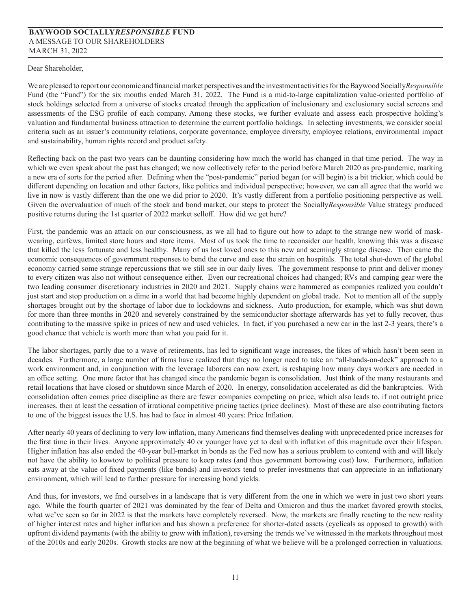#### Dear Shareholder,

We are pleased to report our economic and financial market perspectives and the investment activities for the Baywood Socially*Responsible* Fund (the "Fund") for the six months ended March 31, 2022. The Fund is a mid-to-large capitalization value-oriented portfolio of stock holdings selected from a universe of stocks created through the application of inclusionary and exclusionary social screens and assessments of the ESG profile of each company. Among these stocks, we further evaluate and assess each prospective holding's valuation and fundamental business attraction to determine the current portfolio holdings. In selecting investments, we consider social criteria such as an issuer's community relations, corporate governance, employee diversity, employee relations, environmental impact and sustainability, human rights record and product safety.

Reflecting back on the past two years can be daunting considering how much the world has changed in that time period. The way in which we even speak about the past has changed; we now collectively refer to the period before March 2020 as pre-pandemic, marking a new era of sorts for the period after. Defining when the "post-pandemic" period began (or will begin) is a bit trickier, which could be different depending on location and other factors, like politics and individual perspective; however, we can all agree that the world we live in now is vastly different than the one we did prior to 2020. It's vastly different from a portfolio positioning perspective as well. Given the overvaluation of much of the stock and bond market, our steps to protect the Socially*Responsible* Value strategy produced positive returns during the 1st quarter of 2022 market selloff. How did we get here?

First, the pandemic was an attack on our consciousness, as we all had to figure out how to adapt to the strange new world of maskwearing, curfews, limited store hours and store items. Most of us took the time to reconsider our health, knowing this was a disease that killed the less fortunate and less healthy. Many of us lost loved ones to this new and seemingly strange disease. Then came the economic consequences of government responses to bend the curve and ease the strain on hospitals. The total shut-down of the global economy carried some strange repercussions that we still see in our daily lives. The government response to print and deliver money to every citizen was also not without consequence either. Even our recreational choices had changed; RVs and camping gear were the two leading consumer discretionary industries in 2020 and 2021. Supply chains were hammered as companies realized you couldn't just start and stop production on a dime in a world that had become highly dependent on global trade. Not to mention all of the supply shortages brought out by the shortage of labor due to lockdowns and sickness. Auto production, for example, which was shut down for more than three months in 2020 and severely constrained by the semiconductor shortage afterwards has yet to fully recover, thus contributing to the massive spike in prices of new and used vehicles. In fact, if you purchased a new car in the last 2-3 years, there's a good chance that vehicle is worth more than what you paid for it.

The labor shortages, partly due to a wave of retirements, has led to significant wage increases, the likes of which hasn't been seen in decades. Furthermore, a large number of firms have realized that they no longer need to take an "all-hands-on-deck" approach to a work environment and, in conjunction with the leverage laborers can now exert, is reshaping how many days workers are needed in an office setting. One more factor that has changed since the pandemic began is consolidation. Just think of the many restaurants and retail locations that have closed or shutdown since March of 2020. In energy, consolidation accelerated as did the bankruptcies. With consolidation often comes price discipline as there are fewer companies competing on price, which also leads to, if not outright price increases, then at least the cessation of irrational competitive pricing tactics (price declines). Most of these are also contributing factors to one of the biggest issues the U.S. has had to face in almost 40 years: Price Inflation.

After nearly 40 years of declining to very low inflation, many Americans find themselves dealing with unprecedented price increases for the first time in their lives. Anyone approximately 40 or younger have yet to deal with inflation of this magnitude over their lifespan. Higher inflation has also ended the 40-year bull-market in bonds as the Fed now has a serious problem to contend with and will likely not have the ability to kowtow to political pressure to keep rates (and thus government borrowing cost) low. Furthermore, inflation eats away at the value of fixed payments (like bonds) and investors tend to prefer investments that can appreciate in an inflationary environment, which will lead to further pressure for increasing bond yields.

And thus, for investors, we find ourselves in a landscape that is very different from the one in which we were in just two short years ago. While the fourth quarter of 2021 was dominated by the fear of Delta and Omicron and thus the market favored growth stocks, what we've seen so far in 2022 is that the markets have completely reversed. Now, the markets are finally reacting to the new reality of higher interest rates and higher inflation and has shown a preference for shorter-dated assets (cyclicals as opposed to growth) with upfront dividend payments (with the ability to grow with inflation), reversing the trends we've witnessed in the markets throughout most of the 2010s and early 2020s. Growth stocks are now at the beginning of what we believe will be a prolonged correction in valuations.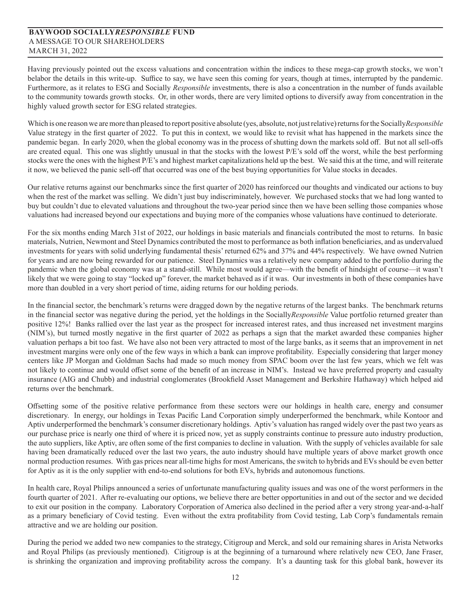#### **BAYWOOD SOCIALLY***RESPONSIBLE* **FUND** A MESSAGE TO OUR SHAREHOLDERS MARCH 31, 2022

Having previously pointed out the excess valuations and concentration within the indices to these mega-cap growth stocks, we won't belabor the details in this write-up. Suffice to say, we have seen this coming for years, though at times, interrupted by the pandemic. Furthermore, as it relates to ESG and Socially *Responsible* investments, there is also a concentration in the number of funds available to the community towards growth stocks. Or, in other words, there are very limited options to diversify away from concentration in the highly valued growth sector for ESG related strategies.

Which is one reason we are more than pleased to report positive absolute (yes, absolute, not just relative) returns for the Socially*Responsible* Value strategy in the first quarter of 2022. To put this in context, we would like to revisit what has happened in the markets since the pandemic began. In early 2020, when the global economy was in the process of shutting down the markets sold off. But not all sell-offs are created equal. This one was slightly unusual in that the stocks with the lowest P/E's sold off the worst, while the best performing stocks were the ones with the highest P/E's and highest market capitalizations held up the best. We said this at the time, and will reiterate it now, we believed the panic sell-off that occurred was one of the best buying opportunities for Value stocks in decades.

Our relative returns against our benchmarks since the first quarter of 2020 has reinforced our thoughts and vindicated our actions to buy when the rest of the market was selling. We didn't just buy indiscriminately, however. We purchased stocks that we had long wanted to buy but couldn't due to elevated valuations and throughout the two-year period since then we have been selling those companies whose valuations had increased beyond our expectations and buying more of the companies whose valuations have continued to deteriorate.

For the six months ending March 31st of 2022, our holdings in basic materials and financials contributed the most to returns. In basic materials, Nutrien, Newmont and Steel Dynamics contributed the most to performance as both inflation beneficiaries, and as undervalued investments for years with solid underlying fundamental thesis' returned 62% and 37% and 44% respectively. We have owned Nutrien for years and are now being rewarded for our patience. Steel Dynamics was a relatively new company added to the portfolio during the pandemic when the global economy was at a stand-still. While most would agree—with the benefit of hindsight of course—it wasn't likely that we were going to stay "locked up" forever, the market behaved as if it was. Our investments in both of these companies have more than doubled in a very short period of time, aiding returns for our holding periods.

In the financial sector, the benchmark's returns were dragged down by the negative returns of the largest banks. The benchmark returns in the financial sector was negative during the period, yet the holdings in the Socially*Responsible* Value portfolio returned greater than positive 12%! Banks rallied over the last year as the prospect for increased interest rates, and thus increased net investment margins (NIM's), but turned mostly negative in the first quarter of 2022 as perhaps a sign that the market awarded these companies higher valuation perhaps a bit too fast. We have also not been very attracted to most of the large banks, as it seems that an improvement in net investment margins were only one of the few ways in which a bank can improve profitability. Especially considering that larger money centers like JP Morgan and Goldman Sachs had made so much money from SPAC boom over the last few years, which we felt was not likely to continue and would offset some of the benefit of an increase in NIM's. Instead we have preferred property and casualty insurance (AIG and Chubb) and industrial conglomerates (Brookfield Asset Management and Berkshire Hathaway) which helped aid returns over the benchmark.

Offsetting some of the positive relative performance from these sectors were our holdings in health care, energy and consumer discretionary. In energy, our holdings in Texas Pacific Land Corporation simply underperformed the benchmark, while Kontoor and Aptiv underperformed the benchmark's consumer discretionary holdings. Aptiv's valuation has ranged widely over the past two years as our purchase price is nearly one third of where it is priced now, yet as supply constraints continue to pressure auto industry production, the auto suppliers, like Aptiv, are often some of the first companies to decline in valuation. With the supply of vehicles available for sale having been dramatically reduced over the last two years, the auto industry should have multiple years of above market growth once normal production resumes. With gas prices near all-time highs for most Americans, the switch to hybrids and EVs should be even better for Aptiv as it is the only supplier with end-to-end solutions for both EVs, hybrids and autonomous functions.

In health care, Royal Philips announced a series of unfortunate manufacturing quality issues and was one of the worst performers in the fourth quarter of 2021. After re-evaluating our options, we believe there are better opportunities in and out of the sector and we decided to exit our position in the company. Laboratory Corporation of America also declined in the period after a very strong year-and-a-half as a primary beneficiary of Covid testing. Even without the extra profitability from Covid testing, Lab Corp's fundamentals remain attractive and we are holding our position.

During the period we added two new companies to the strategy, Citigroup and Merck, and sold our remaining shares in Arista Networks and Royal Philips (as previously mentioned). Citigroup is at the beginning of a turnaround where relatively new CEO, Jane Fraser, is shrinking the organization and improving profitability across the company. It's a daunting task for this global bank, however its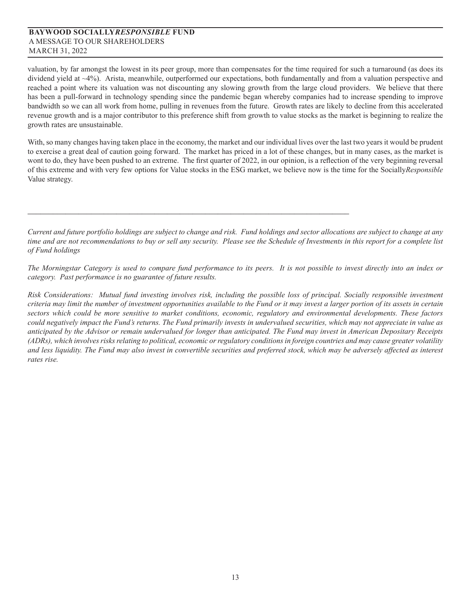#### **BAYWOOD SOCIALLY***RESPONSIBLE* **FUND** A MESSAGE TO OUR SHAREHOLDERS MARCH 31, 2022

valuation, by far amongst the lowest in its peer group, more than compensates for the time required for such a turnaround (as does its dividend yield at ~4%). Arista, meanwhile, outperformed our expectations, both fundamentally and from a valuation perspective and reached a point where its valuation was not discounting any slowing growth from the large cloud providers. We believe that there has been a pull-forward in technology spending since the pandemic began whereby companies had to increase spending to improve bandwidth so we can all work from home, pulling in revenues from the future. Growth rates are likely to decline from this accelerated revenue growth and is a major contributor to this preference shift from growth to value stocks as the market is beginning to realize the growth rates are unsustainable.

With, so many changes having taken place in the economy, the market and our individual lives over the last two years it would be prudent to exercise a great deal of caution going forward. The market has priced in a lot of these changes, but in many cases, as the market is wont to do, they have been pushed to an extreme. The first quarter of 2022, in our opinion, is a reflection of the very beginning reversal of this extreme and with very few options for Value stocks in the ESG market, we believe now is the time for the Socially*Responsible* Value strategy.

*Current and future portfolio holdings are subject to change and risk. Fund holdings and sector allocations are subject to change at any time and are not recommendations to buy or sell any security. Please see the Schedule of Investments in this report for a complete list of Fund holdings* 

\_\_\_\_\_\_\_\_\_\_\_\_\_\_\_\_\_\_\_\_\_\_\_\_\_\_\_\_\_\_\_\_\_\_\_\_\_\_\_\_\_\_\_\_\_\_\_\_\_\_\_\_\_\_\_\_\_\_\_\_\_\_\_\_\_\_\_\_\_\_\_\_\_\_\_\_

*The Morningstar Category is used to compare fund performance to its peers. It is not possible to invest directly into an index or category. Past performance is no guarantee of future results.* 

*Risk Considerations: Mutual fund investing involves risk, including the possible loss of principal. Socially responsible investment criteria may limit the number of investment opportunities available to the Fund or it may invest a larger portion of its assets in certain sectors which could be more sensitive to market conditions, economic, regulatory and environmental developments. These factors could negatively impact the Fund's returns. The Fund primarily invests in undervalued securities, which may not appreciate in value as anticipated by the Advisor or remain undervalued for longer than anticipated. The Fund may invest in American Depositary Receipts (ADRs), which involves risks relating to political, economic or regulatory conditions in foreign countries and may cause greater volatility and less liquidity. The Fund may also invest in convertible securities and preferred stock, which may be adversely affected as interest rates rise.*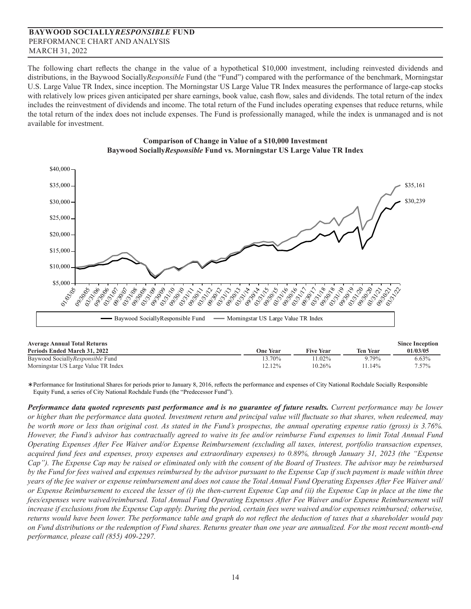#### **BAYWOOD SOCIALLY***RESPONSIBLE* **FUND** PERFORMANCE CHART AND ANALYSIS MARCH 31, 2022

The following chart reflects the change in the value of a hypothetical \$10,000 investment, including reinvested dividends and distributions, in the Baywood Socially*Responsible* Fund (the "Fund") compared with the performance of the benchmark, Morningstar U.S. Large Value TR Index, since inception. The Morningstar US Large Value TR Index measures the performance of large-cap stocks with relatively low prices given anticipated per share earnings, book value, cash flow, sales and dividends. The total return of the index includes the reinvestment of dividends and income. The total return of the Fund includes operating expenses that reduce returns, while the total return of the index does not include expenses. The Fund is professionally managed, while the index is unmanaged and is not available for investment.



**Comparison of Change in Value of a \$10,000 Investment Baywood Socially***Responsible* **Fund vs. Morningstar US Large Value TR Index**

| <b>Average Annual Total Returns</b> |                 |                  |                 | <b>Since Inception</b> |
|-------------------------------------|-----------------|------------------|-----------------|------------------------|
| <b>Periods Ended March 31, 2022</b> | <b>One Year</b> | <b>Five Year</b> | <b>Ten Year</b> | 01/03/05               |
| Baywood Socially Responsible Fund   | 13.70%          | $1.02\%$         | 9.79%           | 6.63%                  |
| Morningstar US Large Value TR Index | $12.12\%$       | $10.26\%$        | $11.14\%$       | 7.57%                  |

\*Performance for Institutional Shares for periods prior to January 8, 2016, reflects the performance and expenses of City National Rochdale Socially Responsible Equity Fund, a series of City National Rochdale Funds (the "Predecessor Fund").

*Performance data quoted represents past performance and is no guarantee of future results. Current performance may be lower or higher than the performance data quoted. Investment return and principal value will fluctuate so that shares, when redeemed, may be worth more or less than original cost. As stated in the Fund's prospectus, the annual operating expense ratio (gross) is 3.76%. However, the Fund's advisor has contractually agreed to waive its fee and/or reimburse Fund expenses to limit Total Annual Fund Operating Expenses After Fee Waiver and/or Expense Reimbursement (excluding all taxes, interest, portfolio transaction expenses, acquired fund fees and expenses, proxy expenses and extraordinary expenses) to 0.89%, through January 31, 2023 (the "Expense Cap"). The Expense Cap may be raised or eliminated only with the consent of the Board of Trustees. The advisor may be reimbursed by the Fund for fees waived and expenses reimbursed by the advisor pursuant to the Expense Cap if such payment is made within three years of the fee waiver or expense reimbursement and does not cause the Total Annual Fund Operating Expenses After Fee Waiver and/ or Expense Reimbursement to exceed the lesser of (i) the then-current Expense Cap and (ii) the Expense Cap in place at the time the fees/expenses were waived/reimbursed. Total Annual Fund Operating Expenses After Fee Waiver and/or Expense Reimbursement will increase if exclusions from the Expense Cap apply. During the period, certain fees were waived and/or expenses reimbursed; otherwise, returns would have been lower. The performance table and graph do not reflect the deduction of taxes that a shareholder would pay on Fund distributions or the redemption of Fund shares. Returns greater than one year are annualized. For the most recent month-end performance, please call (855) 409-2297.*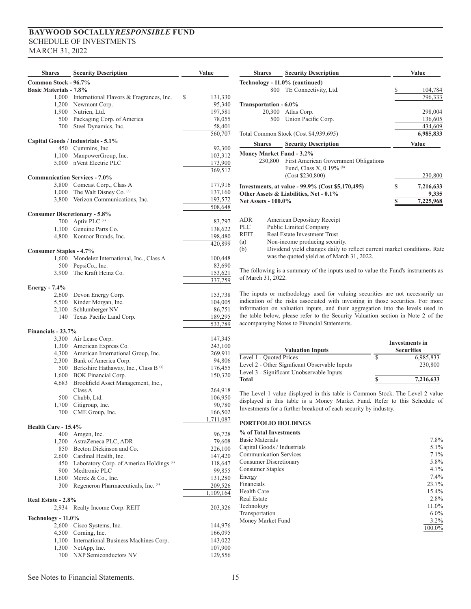#### **BAYWOOD SOCIALLY***RESPONSIBLE* **FUND** SCHEDULE OF INVESTMENTS MARCH 31, 2022

| <b>Shares</b>                        | <b>Security Description</b>                                     | Value              |
|--------------------------------------|-----------------------------------------------------------------|--------------------|
| Common Stock - 96.7%                 |                                                                 |                    |
| <b>Basic Materials - 7.8%</b>        |                                                                 |                    |
|                                      | 1,000 International Flavors & Fragrances, Inc.                  | \$<br>131,330      |
|                                      | 1,200 Newmont Corp.                                             | 95,340             |
|                                      | 1,900 Nutrien, Ltd.                                             | 197,581            |
| 500                                  | Packaging Corp. of America                                      | 78,055             |
| 700                                  | Steel Dynamics, Inc.                                            | 58,401             |
|                                      |                                                                 | 560,707            |
|                                      | Capital Goods / Industrials - 5.1%                              |                    |
|                                      | 450 Cummins, Inc.                                               | 92,300             |
|                                      | 1,100 ManpowerGroup, Inc.                                       | 103,312            |
| 5,000                                | nVent Electric PLC                                              | 173,900<br>369,512 |
| <b>Communication Services - 7.0%</b> |                                                                 |                    |
|                                      | 3,800 Comcast Corp., Class A                                    | 177,916            |
|                                      | 1,000 The Walt Disney Co. (a)                                   | 137,160            |
| 3,800                                | Verizon Communications, Inc.                                    | 193,572            |
|                                      |                                                                 | 508,648            |
| <b>Consumer Discretionary - 5.8%</b> |                                                                 |                    |
| 700                                  | Aptiv PLC <sup>(a)</sup>                                        | 83,797             |
|                                      | 1,100 Genuine Parts Co.                                         | 138,622            |
| 4,800                                | Kontoor Brands, Inc.                                            | 198,480            |
|                                      |                                                                 | 420,899            |
| <b>Consumer Staples - 4.7%</b>       | 1,600 Mondelez International, Inc., Class A                     | 100,448            |
|                                      | 500 PepsiCo., Inc.                                              | 83,690             |
| 3,900                                | The Kraft Heinz Co.                                             | 153,621            |
|                                      |                                                                 | 337,759            |
| Energy - $7.4\%$                     |                                                                 |                    |
| 2,600                                | Devon Energy Corp.                                              | 153,738            |
|                                      | 5,500 Kinder Morgan, Inc.                                       | 104,005            |
| 2,100                                | Schlumberger NV                                                 | 86,751             |
| 140                                  | Texas Pacific Land Corp.                                        | 189,295            |
|                                      |                                                                 | 533,789            |
| Financials - 23.7%                   |                                                                 |                    |
|                                      | 3,300 Air Lease Corp.                                           | 147,345            |
|                                      | 1,300 American Express Co.                                      | 243,100            |
|                                      | 4,300 American International Group, Inc.                        | 269,911            |
|                                      | 2,300 Bank of America Corp.                                     | 94,806             |
|                                      | 500 Berkshire Hathaway, Inc., Class B (a)                       | 176,455            |
| 4,683                                | 1,600 BOK Financial Corp.<br>Brookfield Asset Management, Inc., | 150,320            |
|                                      | Class A                                                         | 264,918            |
| 500                                  | Chubb, Ltd.                                                     | 106,950            |
| 1,700                                | Citigroup, Inc.                                                 | 90,780             |
| 700                                  | CME Group, Inc.                                                 | 166,502            |
|                                      |                                                                 | 1,711,087          |
| Health Care - 15.4%                  |                                                                 |                    |
| 400                                  | Amgen, Inc.                                                     | 96,728             |
| 1,200                                | AstraZeneca PLC, ADR                                            | 79,608             |
|                                      | 850 Becton Dickinson and Co.                                    | 226,100            |
|                                      | 2,600 Cardinal Health, Inc.                                     | 147,420            |
| 450                                  | Laboratory Corp. of America Holdings <sup>(a)</sup>             | 118,647            |
| 900                                  | Medtronic PLC                                                   | 99,855             |
| 1,600                                | Merck & Co., Inc.                                               | 131,280            |
| 300                                  | Regeneron Pharmaceuticals, Inc. (a)                             | 209,526            |
| Real Estate - 2.8%                   |                                                                 | 1,109,164          |
| 2,934                                | Realty Income Corp. REIT                                        | 203,326            |
| Technology - 11.0%                   |                                                                 |                    |
| 2,600                                | Cisco Systems, Inc.                                             | 144,976            |
| 4,500                                | Corning, Inc.                                                   | 166,095            |
| 1,100                                | International Business Machines Corp.                           | 143,022            |
| 1,300                                | NetApp, Inc.                                                    | 107,900            |
| 700                                  | NXP Semiconductors NV                                           | 129,556            |

| <b>Shares</b>                   | <b>Security Description</b>                      |   | Value     |
|---------------------------------|--------------------------------------------------|---|-----------|
| Technology - 11.0% (continued)  |                                                  |   |           |
|                                 | 800 TE Connectivity, Ltd.                        | S | 104,784   |
|                                 |                                                  |   | 796,333   |
| Transportation - 6.0%           |                                                  |   |           |
|                                 | 20,300 Atlas Corp.                               |   | 298,004   |
| 500                             | Union Pacific Corp.                              |   | 136,605   |
|                                 |                                                  |   | 434,609   |
|                                 | Total Common Stock (Cost \$4,939,695)            |   | 6,985,833 |
| <b>Shares</b>                   | <b>Security Description</b>                      |   | Value     |
| <b>Money Market Fund - 3.2%</b> |                                                  |   |           |
|                                 | 230,800 First American Government Obligations    |   |           |
|                                 | Fund, Class X, 0.19% (b)                         |   |           |
|                                 | (Cost \$230,800)                                 |   | 230,800   |
|                                 | Investments, at value - 99.9% (Cost \$5,170,495) | S | 7,216,633 |
|                                 | Other Assets & Liabilities, Net - 0.1%           |   | 9,335     |
| <b>Net Assets - 100.0%</b>      |                                                  |   | 7,225,968 |

| <b>ADR</b>  | American Depositary Receipt                                                                                           |
|-------------|-----------------------------------------------------------------------------------------------------------------------|
| PLC         | Public Limited Company                                                                                                |
| <b>REIT</b> | Real Estate Investment Trust                                                                                          |
| (a)         | Non-income producing security.                                                                                        |
| (b)         | Dividend yield changes daily to reflect current market conditions. Rate<br>was the quoted yield as of March 31, 2022. |
|             | The following is a manual of the industry of the college of the Tradity of the community of the                       |

The following is a summary of the inputs used to value the Fund's instruments as of March 31, 2022.

The inputs or methodology used for valuing securities are not necessarily an indication of the risks associated with investing in those securities. For more information on valuation inputs, and their aggregation into the levels used in the table below, please refer to the Security Valuation section in Note 2 of the accompanying Notes to Financial Statements.

|                                               | <b>Investments in</b> |
|-----------------------------------------------|-----------------------|
| <b>Valuation Inputs</b>                       | <b>Securities</b>     |
| Level 1 - Quoted Prices                       | 6,985,833             |
| Level 2 - Other Significant Observable Inputs | 230,800               |
| Level 3 - Significant Unobservable Inputs     |                       |
| Total                                         | 7,216,633             |

The Level 1 value displayed in this table is Common Stock. The Level 2 value displayed in this table is a Money Market Fund. Refer to this Schedule of Investments for a further breakout of each security by industry.

# **PORTFOLIO HOLDINGS**

| % of Total Investments        |         |
|-------------------------------|---------|
| <b>Basic Materials</b>        | 7.8%    |
| Capital Goods / Industrials   | 5.1%    |
| <b>Communication Services</b> | 7.1%    |
| <b>Consumer Discretionary</b> | 5.8%    |
| Consumer Staples              | 4.7%    |
| Energy                        | 7.4%    |
| Financials                    | 23.7%   |
| Health Care                   | 15.4%   |
| Real Estate                   | 2.8%    |
| Technology                    | 11.0%   |
| Transportation                | $6.0\%$ |
| Money Market Fund             | $3.2\%$ |
|                               | 100.0%  |
|                               |         |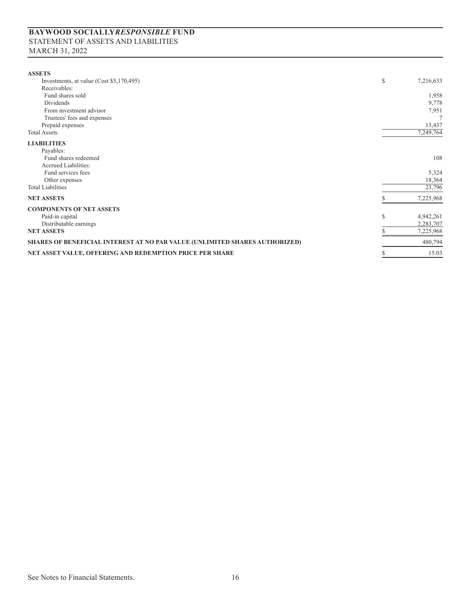| <b>ASSETS</b>                                                                      |              |           |
|------------------------------------------------------------------------------------|--------------|-----------|
| Investments, at value (Cost \$5,170,495)                                           | $\mathbb{S}$ | 7,216,633 |
| Receivables:                                                                       |              |           |
| Fund shares sold                                                                   |              | 1,958     |
| Dividends                                                                          |              | 9,778     |
| From investment advisor                                                            |              | 7,951     |
| Trustees' fees and expenses                                                        |              |           |
| Prepaid expenses                                                                   |              | 13,437    |
| <b>Total Assets</b>                                                                |              | 7,249,764 |
| <b>LIABILITIES</b>                                                                 |              |           |
| Payables:                                                                          |              |           |
| Fund shares redeemed                                                               |              | 108       |
| Accrued Liabilities:                                                               |              |           |
| Fund services fees                                                                 |              | 5,324     |
| Other expenses                                                                     |              | 18,364    |
| <b>Total Liabilities</b>                                                           |              | 23,796    |
| <b>NET ASSETS</b>                                                                  |              | 7,225,968 |
| <b>COMPONENTS OF NET ASSETS</b>                                                    |              |           |
| Paid-in capital                                                                    | \$           | 4,942,261 |
| Distributable earnings                                                             |              | 2,283,707 |
| <b>NET ASSETS</b>                                                                  |              | 7,225,968 |
| <b>SHARES OF BENEFICIAL INTEREST AT NO PAR VALUE (UNLIMITED SHARES AUTHORIZED)</b> |              | 480,794   |
| NET ASSET VALUE, OFFERING AND REDEMPTION PRICE PER SHARE                           |              | 15.03     |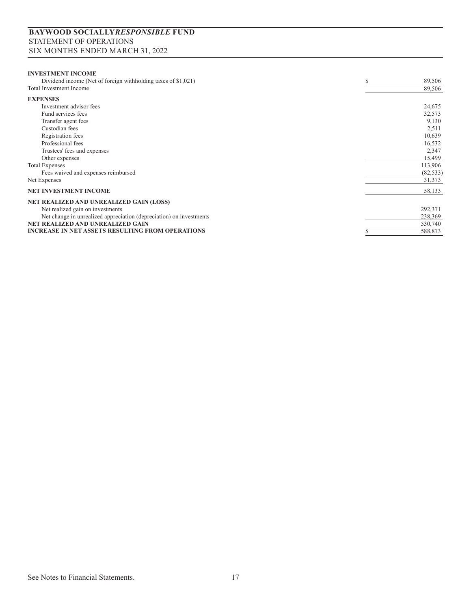#### **INVESTMENT INCOME**

| INVESTMENT INCOME                                                   |           |
|---------------------------------------------------------------------|-----------|
| Dividend income (Net of foreign withholding taxes of \$1,021)       | 89,506    |
| Total Investment Income                                             | 89,506    |
| <b>EXPENSES</b>                                                     |           |
| Investment advisor fees                                             | 24,675    |
| Fund services fees                                                  | 32,573    |
| Transfer agent fees                                                 | 9,130     |
| Custodian fees                                                      | 2,511     |
| Registration fees                                                   | 10,639    |
| Professional fees                                                   | 16,532    |
| Trustees' fees and expenses                                         | 2,347     |
| Other expenses                                                      | 15,499    |
| <b>Total Expenses</b>                                               | 113,906   |
| Fees waived and expenses reimbursed                                 | (82, 533) |
| Net Expenses                                                        | 31,373    |
| <b>NET INVESTMENT INCOME</b>                                        | 58,133    |
| NET REALIZED AND UNREALIZED GAIN (LOSS)                             |           |
| Net realized gain on investments                                    | 292,371   |
| Net change in unrealized appreciation (depreciation) on investments | 238,369   |
| <b>NET REALIZED AND UNREALIZED GAIN</b>                             | 530,740   |
| <b>INCREASE IN NET ASSETS RESULTING FROM OPERATIONS</b>             | 588,873   |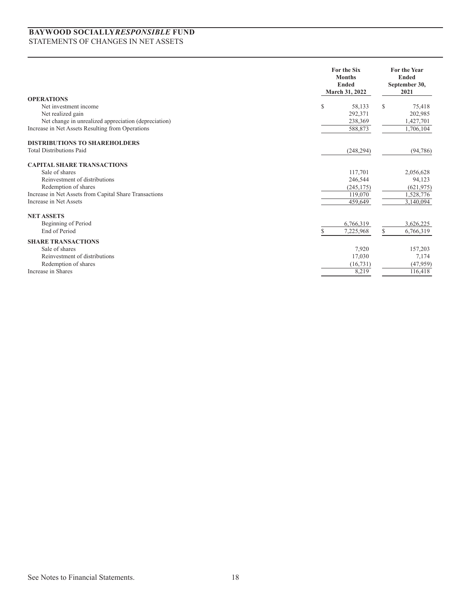#### **BAYWOOD SOCIALLY***RESPONSIBLE* **FUND** STATEMENTS OF CHANGES IN NET ASSETS

**For the Six Months Ended March 31, 2022 For the Year Ended September 30, 2021 OPERATIONS** Net investment income  $\begin{array}{cccc} 8 & 58,133 & 8 & 75,418 \\ \text{Net realized gain} & & & 292,371 & 202,985 \end{array}$ Net realized gain Net change in unrealized appreciation (depreciation) <br>ase in Net Assets Resulting from Operations <br>1,706,104 1,706,104 Increase in Net Assets Resulting from Operations **DISTRIBUTIONS TO SHAREHOLDERS** Total Distributions Paid (248,294) (94,786) **CAPITAL SHARE TRANSACTIONS** Sale of shares 2,056,628 and 2,056,628 and 2,056,628 Reinvestment of distributions 246,544 94,123<br>Redemption of shares (245,175) (621,975) (621,975) Redemption of shares (245,175) (621,975) (621,975) (621,975) (621,975) (621,975) (621,975) (621,975) (621,975) Increase in Net Assets from Capital Share Transactions 119,070 1,528,776 1 19,070 1,528,776 1,528,776 1,528,776 1,528,776 1,528,776 1,528,776 1,528,776 1,528,776 1,528,776 1,528,776 1,528,776 1,528,776 1,528,776 1,528,776 Increase in Net Assets 459,649 **NET ASSETS** Beginning of Period **6,766,319** 3,626,225<br>
End of Period **6** 6,766,319 5 6,766,319 End of Period  $\qquad \qquad$  6,766,319 **SHARE TRANSACTIONS** Sale of shares 157,203 157,203 Reinvestment of distributions 17,030 7,174 Redemption of shares  $(16,731)$   $(47,959)$ Increase in Shares  $\overline{\qquad \qquad }$  8,219  $\overline{\qquad \qquad }$  116,418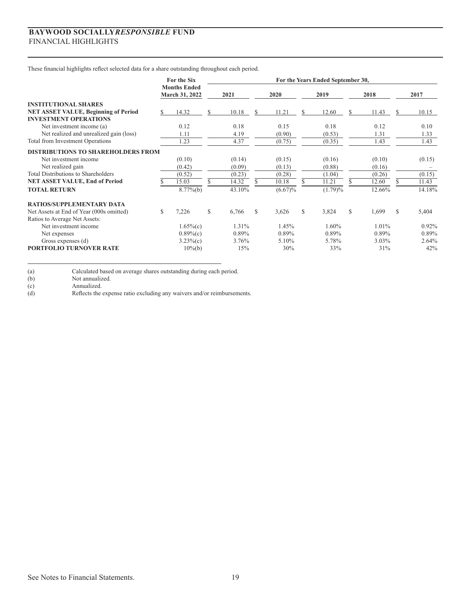These financial highlights reflect selected data for a share outstanding throughout each period.

|                                             |    | For the Six                                  | For the Years Ended September 30, |          |   |            |    |            |    |        |     |        |
|---------------------------------------------|----|----------------------------------------------|-----------------------------------|----------|---|------------|----|------------|----|--------|-----|--------|
|                                             |    | <b>Months Ended</b><br><b>March 31, 2022</b> |                                   | 2021     |   | 2020       |    | 2019       |    | 2018   |     | 2017   |
| <b>INSTITUTIONAL SHARES</b>                 |    |                                              |                                   |          |   |            |    |            |    |        |     |        |
| <b>NET ASSET VALUE, Beginning of Period</b> | S  | 14.32                                        |                                   | 10.18    |   | 11.21      | S  | 12.60      |    | 11.43  |     | 10.15  |
| <b>INVESTMENT OPERATIONS</b>                |    |                                              |                                   |          |   |            |    |            |    |        |     |        |
| Net investment income (a)                   |    | 0.12                                         |                                   | 0.18     |   | 0.15       |    | 0.18       |    | 0.12   |     | 0.10   |
| Net realized and unrealized gain (loss)     |    | 1.11                                         |                                   | 4.19     |   | (0.90)     |    | (0.53)     |    | 1.31   |     | 1.33   |
| Total from Investment Operations            |    | 1.23                                         |                                   | 4.37     |   | (0.75)     |    | (0.35)     |    | 1.43   |     | 1.43   |
| <b>DISTRIBUTIONS TO SHAREHOLDERS FROM</b>   |    |                                              |                                   |          |   |            |    |            |    |        |     |        |
| Net investment income                       |    | (0.10)                                       |                                   | (0.14)   |   | (0.15)     |    | (0.16)     |    | (0.10) |     | (0.15) |
| Net realized gain                           |    | (0.42)                                       |                                   | (0.09)   |   | (0.13)     |    | (0.88)     |    | (0.16) |     |        |
| <b>Total Distributions to Shareholders</b>  |    | (0.52)                                       |                                   | (0.23)   |   | (0.28)     |    | (1.04)     |    | (0.26) |     | (0.15) |
| NET ASSET VALUE, End of Period              |    | 15.03                                        | \$                                | 14.32    |   | 10.18      | S  | 11.21      | S. | 12.60  | \$. | 11.43  |
| <b>TOTAL RETURN</b>                         |    | $8.77\%$ (b)                                 |                                   | 43.10%   |   | $(6.67)\%$ |    | $(1.79)\%$ |    | 12.66% |     | 14.18% |
| <b>RATIOS/SUPPLEMENTARY DATA</b>            |    |                                              |                                   |          |   |            |    |            |    |        |     |        |
| Net Assets at End of Year (000s omitted)    | \$ | 7,226                                        | S                                 | 6,766    | S | 3,626      | \$ | 3,824      | S. | 1,699  | S   | 5,404  |
| Ratios to Average Net Assets:               |    |                                              |                                   |          |   |            |    |            |    |        |     |        |
| Net investment income                       |    | $1.65\%$ (c)                                 |                                   | 1.31%    |   | 1.45%      |    | 1.60%      |    | 1.01%  |     | 0.92%  |
| Net expenses                                |    | $0.89\%$ (c)                                 |                                   | $0.89\%$ |   | $0.89\%$   |    | 0.89%      |    | 0.89%  |     | 0.89%  |
| Gross expenses (d)                          |    | $3.23\%$ (c)                                 |                                   | 3.76%    |   | 5.10%      |    | 5.78%      |    | 3.03%  |     | 2.64%  |
| <b>PORTFOLIO TURNOVER RATE</b>              |    | $10\%$ (b)                                   |                                   | 15%      |   | 30%        |    | 33%        |    | 31%    |     | 42%    |

(a) Calculated based on average shares outstanding during each period.

(b) Not annualized.

(c) Annualized.

(d) Reflects the expense ratio excluding any waivers and/or reimbursements.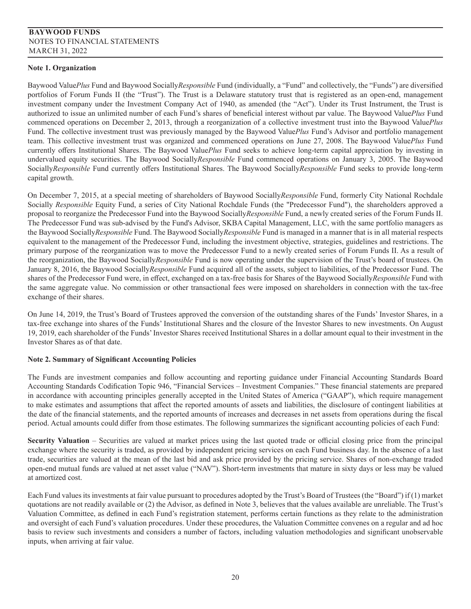#### **BAYWOOD FUNDS** NOTES TO FINANCIAL STATEMENTS MARCH 31, 2022

#### **Note 1. Organization**

Baywood Value*Plus* Fund and Baywood Socially*Responsible* Fund (individually, a "Fund" and collectively, the "Funds") are diversified portfolios of Forum Funds II (the "Trust"). The Trust is a Delaware statutory trust that is registered as an open-end, management investment company under the Investment Company Act of 1940, as amended (the "Act"). Under its Trust Instrument, the Trust is authorized to issue an unlimited number of each Fund's shares of beneficial interest without par value. The Baywood Value*Plus* Fund commenced operations on December 2, 2013, through a reorganization of a collective investment trust into the Baywood Value*Plus* Fund. The collective investment trust was previously managed by the Baywood Value*Plus* Fund's Advisor and portfolio management team. This collective investment trust was organized and commenced operations on June 27, 2008. The Baywood Value*Plus* Fund currently offers Institutional Shares. The Baywood Value*Plus* Fund seeks to achieve long-term capital appreciation by investing in undervalued equity securities. The Baywood Socially*Responsible* Fund commenced operations on January 3, 2005. The Baywood Socially*Responsible* Fund currently offers Institutional Shares. The Baywood Socially*Responsible* Fund seeks to provide long-term capital growth.

On December 7, 2015, at a special meeting of shareholders of Baywood Socially*Responsible* Fund, formerly City National Rochdale Socially *Responsible* Equity Fund, a series of City National Rochdale Funds (the "Predecessor Fund"), the shareholders approved a proposal to reorganize the Predecessor Fund into the Baywood Socially*Responsible* Fund, a newly created series of the Forum Funds II. The Predecessor Fund was sub-advised by the Fund's Advisor, SKBA Capital Management, LLC, with the same portfolio managers as the Baywood Socially*Responsible* Fund. The Baywood Socially*Responsible* Fund is managed in a manner that is in all material respects equivalent to the management of the Predecessor Fund, including the investment objective, strategies, guidelines and restrictions. The primary purpose of the reorganization was to move the Predecessor Fund to a newly created series of Forum Funds II. As a result of the reorganization, the Baywood Socially*Responsible* Fund is now operating under the supervision of the Trust's board of trustees. On January 8, 2016, the Baywood Socially*Responsible* Fund acquired all of the assets, subject to liabilities, of the Predecessor Fund. The shares of the Predecessor Fund were, in effect, exchanged on a tax-free basis for Shares of the Baywood Socially*Responsible* Fund with the same aggregate value. No commission or other transactional fees were imposed on shareholders in connection with the tax-free exchange of their shares.

On June 14, 2019, the Trust's Board of Trustees approved the conversion of the outstanding shares of the Funds' Investor Shares, in a tax-free exchange into shares of the Funds' Institutional Shares and the closure of the Investor Shares to new investments. On August 19, 2019, each shareholder of the Funds' Investor Shares received Institutional Shares in a dollar amount equal to their investment in the Investor Shares as of that date.

#### **Note 2. Summary of Significant Accounting Policies**

The Funds are investment companies and follow accounting and reporting guidance under Financial Accounting Standards Board Accounting Standards Codification Topic 946, "Financial Services – Investment Companies." These financial statements are prepared in accordance with accounting principles generally accepted in the United States of America ("GAAP"), which require management to make estimates and assumptions that affect the reported amounts of assets and liabilities, the disclosure of contingent liabilities at the date of the financial statements, and the reported amounts of increases and decreases in net assets from operations during the fiscal period. Actual amounts could differ from those estimates. The following summarizes the significant accounting policies of each Fund:

**Security Valuation** – Securities are valued at market prices using the last quoted trade or official closing price from the principal exchange where the security is traded, as provided by independent pricing services on each Fund business day. In the absence of a last trade, securities are valued at the mean of the last bid and ask price provided by the pricing service. Shares of non-exchange traded open-end mutual funds are valued at net asset value ("NAV"). Short-term investments that mature in sixty days or less may be valued at amortized cost.

Each Fund values its investments at fair value pursuant to procedures adopted by the Trust's Board of Trustees (the "Board") if (1) market quotations are not readily available or (2) the Advisor, as defined in Note 3, believes that the values available are unreliable. The Trust's Valuation Committee, as defined in each Fund's registration statement, performs certain functions as they relate to the administration and oversight of each Fund's valuation procedures. Under these procedures, the Valuation Committee convenes on a regular and ad hoc basis to review such investments and considers a number of factors, including valuation methodologies and significant unobservable inputs, when arriving at fair value.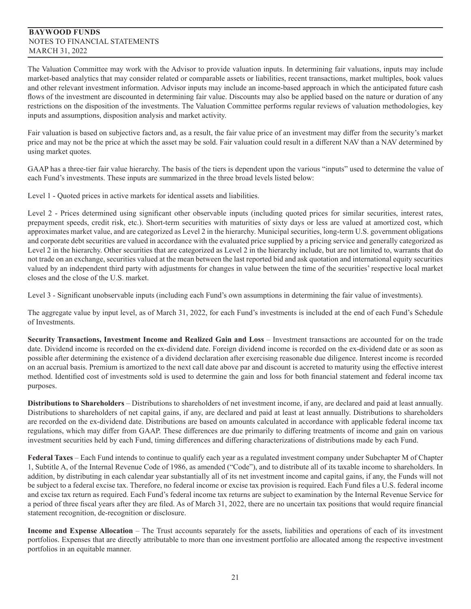#### **BAYWOOD FUNDS** NOTES TO FINANCIAL STATEMENTS MARCH 31, 2022

The Valuation Committee may work with the Advisor to provide valuation inputs. In determining fair valuations, inputs may include market-based analytics that may consider related or comparable assets or liabilities, recent transactions, market multiples, book values and other relevant investment information. Advisor inputs may include an income-based approach in which the anticipated future cash flows of the investment are discounted in determining fair value. Discounts may also be applied based on the nature or duration of any restrictions on the disposition of the investments. The Valuation Committee performs regular reviews of valuation methodologies, key inputs and assumptions, disposition analysis and market activity.

Fair valuation is based on subjective factors and, as a result, the fair value price of an investment may differ from the security's market price and may not be the price at which the asset may be sold. Fair valuation could result in a different NAV than a NAV determined by using market quotes.

GAAP has a three-tier fair value hierarchy. The basis of the tiers is dependent upon the various "inputs" used to determine the value of each Fund's investments. These inputs are summarized in the three broad levels listed below:

Level 1 - Quoted prices in active markets for identical assets and liabilities.

Level 2 - Prices determined using significant other observable inputs (including quoted prices for similar securities, interest rates, prepayment speeds, credit risk, etc.). Short-term securities with maturities of sixty days or less are valued at amortized cost, which approximates market value, and are categorized as Level 2 in the hierarchy. Municipal securities, long-term U.S. government obligations and corporate debt securities are valued in accordance with the evaluated price supplied by a pricing service and generally categorized as Level 2 in the hierarchy. Other securities that are categorized as Level 2 in the hierarchy include, but are not limited to, warrants that do not trade on an exchange, securities valued at the mean between the last reported bid and ask quotation and international equity securities valued by an independent third party with adjustments for changes in value between the time of the securities' respective local market closes and the close of the U.S. market.

Level 3 - Significant unobservable inputs (including each Fund's own assumptions in determining the fair value of investments).

The aggregate value by input level, as of March 31, 2022, for each Fund's investments is included at the end of each Fund's Schedule of Investments.

**Security Transactions, Investment Income and Realized Gain and Loss** – Investment transactions are accounted for on the trade date. Dividend income is recorded on the ex-dividend date. Foreign dividend income is recorded on the ex-dividend date or as soon as possible after determining the existence of a dividend declaration after exercising reasonable due diligence. Interest income is recorded on an accrual basis. Premium is amortized to the next call date above par and discount is accreted to maturity using the effective interest method. Identified cost of investments sold is used to determine the gain and loss for both financial statement and federal income tax purposes.

**Distributions to Shareholders** – Distributions to shareholders of net investment income, if any, are declared and paid at least annually. Distributions to shareholders of net capital gains, if any, are declared and paid at least at least annually. Distributions to shareholders are recorded on the ex-dividend date. Distributions are based on amounts calculated in accordance with applicable federal income tax regulations, which may differ from GAAP. These differences are due primarily to differing treatments of income and gain on various investment securities held by each Fund, timing differences and differing characterizations of distributions made by each Fund.

**Federal Taxes** – Each Fund intends to continue to qualify each year as a regulated investment company under Subchapter M of Chapter 1, Subtitle A, of the Internal Revenue Code of 1986, as amended ("Code"), and to distribute all of its taxable income to shareholders. In addition, by distributing in each calendar year substantially all of its net investment income and capital gains, if any, the Funds will not be subject to a federal excise tax. Therefore, no federal income or excise tax provision is required. Each Fund files a U.S. federal income and excise tax return as required. Each Fund's federal income tax returns are subject to examination by the Internal Revenue Service for a period of three fiscal years after they are filed. As of March 31, 2022, there are no uncertain tax positions that would require financial statement recognition, de-recognition or disclosure.

**Income and Expense Allocation** – The Trust accounts separately for the assets, liabilities and operations of each of its investment portfolios. Expenses that are directly attributable to more than one investment portfolio are allocated among the respective investment portfolios in an equitable manner.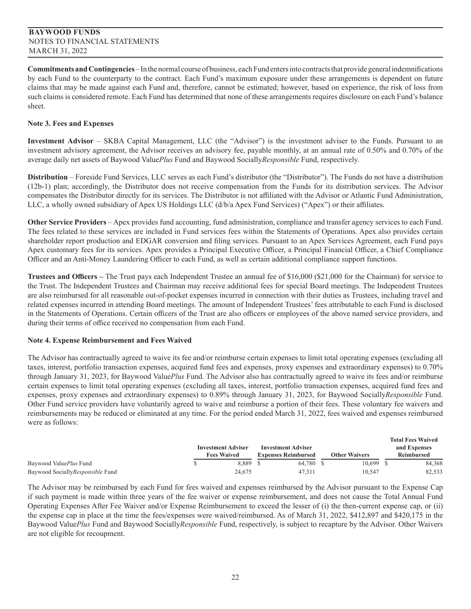**Commitments and Contingencies** – In the normal course of business, each Fund enters into contracts that provide general indemnifications by each Fund to the counterparty to the contract. Each Fund's maximum exposure under these arrangements is dependent on future claims that may be made against each Fund and, therefore, cannot be estimated; however, based on experience, the risk of loss from such claims is considered remote. Each Fund has determined that none of these arrangements requires disclosure on each Fund's balance sheet.

#### **Note 3. Fees and Expenses**

**Investment Advisor** – SKBA Capital Management, LLC (the "Advisor") is the investment adviser to the Funds. Pursuant to an investment advisory agreement, the Advisor receives an advisory fee, payable monthly, at an annual rate of 0.50% and 0.70% of the average daily net assets of Baywood Value*Plus* Fund and Baywood Socially*Responsible* Fund, respectively.

**Distribution** – Foreside Fund Services, LLC serves as each Fund's distributor (the "Distributor"). The Funds do not have a distribution (12b-1) plan; accordingly, the Distributor does not receive compensation from the Funds for its distribution services. The Advisor compensates the Distributor directly for its services. The Distributor is not affiliated with the Advisor or Atlantic Fund Administration, LLC, a wholly owned subsidiary of Apex US Holdings LLC (d/b/a Apex Fund Services) ("Apex") or their affiliates.

**Other Service Providers** – Apex provides fund accounting, fund administration, compliance and transfer agency services to each Fund. The fees related to these services are included in Fund services fees within the Statements of Operations. Apex also provides certain shareholder report production and EDGAR conversion and filing services. Pursuant to an Apex Services Agreement, each Fund pays Apex customary fees for its services. Apex provides a Principal Executive Officer, a Principal Financial Officer, a Chief Compliance Officer and an Anti-Money Laundering Officer to each Fund, as well as certain additional compliance support functions.

**Trustees and Officers –** The Trust pays each Independent Trustee an annual fee of \$16,000 (\$21,000 for the Chairman) for service to the Trust. The Independent Trustees and Chairman may receive additional fees for special Board meetings. The Independent Trustees are also reimbursed for all reasonable out-of-pocket expenses incurred in connection with their duties as Trustees, including travel and related expenses incurred in attending Board meetings. The amount of Independent Trustees' fees attributable to each Fund is disclosed in the Statements of Operations. Certain officers of the Trust are also officers or employees of the above named service providers, and during their terms of office received no compensation from each Fund.

#### **Note 4. Expense Reimbursement and Fees Waived**

The Advisor has contractually agreed to waive its fee and/or reimburse certain expenses to limit total operating expenses (excluding all taxes, interest, portfolio transaction expenses, acquired fund fees and expenses, proxy expenses and extraordinary expenses) to 0.70% through January 31, 2023, for Baywood Value*Plus* Fund. The Advisor also has contractually agreed to waive its fees and/or reimburse certain expenses to limit total operating expenses (excluding all taxes, interest, portfolio transaction expenses, acquired fund fees and expenses, proxy expenses and extraordinary expenses) to 0.89% through January 31, 2023, for Baywood Socially*Responsible* Fund. Other Fund service providers have voluntarily agreed to waive and reimburse a portion of their fees. These voluntary fee waivers and reimbursements may be reduced or eliminated at any time. For the period ended March 31, 2022, fees waived and expenses reimbursed were as follows:

|                                   |                           |                            |        |                      | <b>Total Fees Waived</b> |
|-----------------------------------|---------------------------|----------------------------|--------|----------------------|--------------------------|
|                                   | <b>Investment Adviser</b> | <b>Investment Adviser</b>  |        |                      | and Expenses             |
|                                   | <b>Fees Waived</b>        | <b>Expenses Reimbursed</b> |        | <b>Other Waivers</b> | Reimbursed               |
| Baywood ValuePlus Fund            | 8.889                     |                            | 64,780 | 10.699               | 84.368                   |
| Baywood Socially Responsible Fund | 24,675                    |                            | 47.311 | 10.547               | 82.533                   |

The Advisor may be reimbursed by each Fund for fees waived and expenses reimbursed by the Advisor pursuant to the Expense Cap if such payment is made within three years of the fee waiver or expense reimbursement, and does not cause the Total Annual Fund Operating Expenses After Fee Waiver and/or Expense Reimbursement to exceed the lesser of (i) the then-current expense cap, or (ii) the expense cap in place at the time the fees/expenses were waived/reimbursed. As of March 31, 2022, \$412,897 and \$420,175 in the Baywood Value*Plus* Fund and Baywood Socially*Responsible* Fund, respectively, is subject to recapture by the Advisor. Other Waivers are not eligible for recoupment.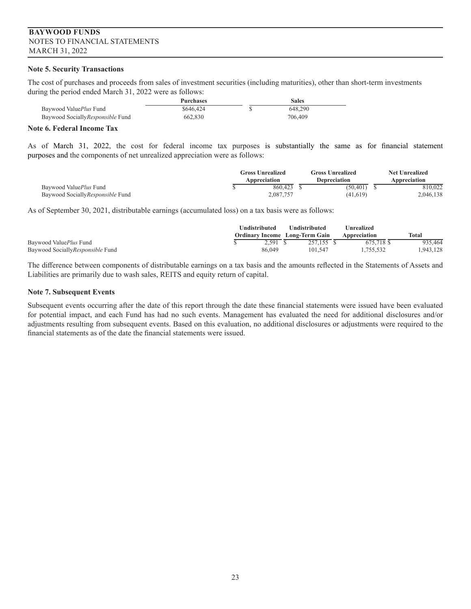#### **BAYWOOD FUNDS** NOTES TO FINANCIAL STATEMENTS MARCH 31, 2022

#### **Note 5. Security Transactions**

The cost of purchases and proceeds from sales of investment securities (including maturities), other than short-term investments during the period ended March 31, 2022 were as follows:

|                                   | <b>Purchases</b> | Sales   |
|-----------------------------------|------------------|---------|
| Baywood ValuePlus Fund            | \$646,424        | 648,290 |
| Baywood Socially Responsible Fund | 662,830          | 706,409 |

#### **Note 6. Federal Income Tax**

As of March 31, 2022, the cost for federal income tax purposes is substantially the same as for financial statement purposes and the components of net unrealized appreciation were as follows:

|                                   | Gross Unrealized<br>Appreciation | <b>Gross Unrealized</b><br>Depreciation |           |  | <b>Net Unrealized</b><br>Appreciation |  |  |
|-----------------------------------|----------------------------------|-----------------------------------------|-----------|--|---------------------------------------|--|--|
| Baywood ValuePlus Fund            | 860,423                          |                                         | (50, 401) |  | 810,022                               |  |  |
| Baywood Socially Responsible Fund | 2,087,757                        |                                         | (41,619)  |  | 2,046,138                             |  |  |

As of September 30, 2021, distributable earnings (accumulated loss) on a tax basis were as follows:

|                                   | Undistributed | Undistributed                         | Unrealized   |          |
|-----------------------------------|---------------|---------------------------------------|--------------|----------|
|                                   |               | <b>Ordinary Income</b> Long-Term Gain | Appreciation | Total    |
| Baywood ValuePlus Fund            | 2.591         | 257.155                               | $675.718$ S  | 935,464  |
| Baywood Socially Responsible Fund | 86,049        | 101.547                               | .755.532     | .943.128 |

The difference between components of distributable earnings on a tax basis and the amounts reflected in the Statements of Assets and Liabilities are primarily due to wash sales, REITS and equity return of capital.

#### **Note 7. Subsequent Events**

Subsequent events occurring after the date of this report through the date these financial statements were issued have been evaluated for potential impact, and each Fund has had no such events. Management has evaluated the need for additional disclosures and/or adjustments resulting from subsequent events. Based on this evaluation, no additional disclosures or adjustments were required to the financial statements as of the date the financial statements were issued.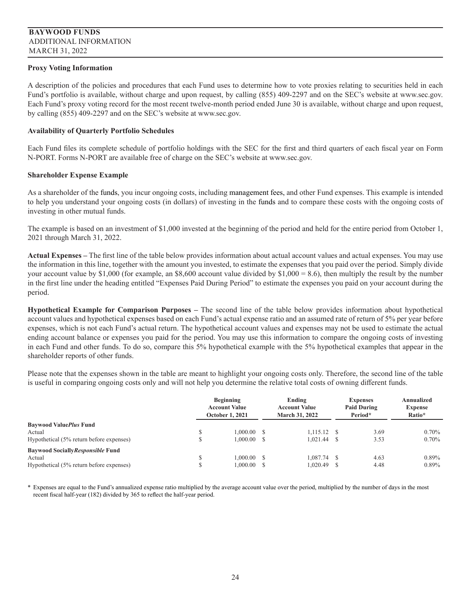#### **Proxy Voting Information**

A description of the policies and procedures that each Fund uses to determine how to vote proxies relating to securities held in each Fund's portfolio is available, without charge and upon request, by calling (855) 409-2297 and on the SEC's website at www.sec.gov. Each Fund's proxy voting record for the most recent twelve-month period ended June 30 is available, without charge and upon request, by calling (855) 409-2297 and on the SEC's website at www.sec.gov.

#### **Availability of Quarterly Portfolio Schedules**

Each Fund files its complete schedule of portfolio holdings with the SEC for the first and third quarters of each fiscal year on Form N-PORT. Forms N-PORT are available free of charge on the SEC's website at www.sec.gov.

#### **Shareholder Expense Example**

As a shareholder of the funds, you incur ongoing costs, including management fees, and other Fund expenses. This example is intended to help you understand your ongoing costs (in dollars) of investing in the funds and to compare these costs with the ongoing costs of investing in other mutual funds.

The example is based on an investment of \$1,000 invested at the beginning of the period and held for the entire period from October 1, 2021 through March 31, 2022.

**Actual Expenses –** The first line of the table below provides information about actual account values and actual expenses. You may use the information in this line, together with the amount you invested, to estimate the expenses that you paid over the period. Simply divide your account value by \$1,000 (for example, an \$8,600 account value divided by \$1,000 = 8.6), then multiply the result by the number in the first line under the heading entitled "Expenses Paid During Period" to estimate the expenses you paid on your account during the period.

**Hypothetical Example for Comparison Purposes –** The second line of the table below provides information about hypothetical account values and hypothetical expenses based on each Fund's actual expense ratio and an assumed rate of return of 5% per year before expenses, which is not each Fund's actual return. The hypothetical account values and expenses may not be used to estimate the actual ending account balance or expenses you paid for the period. You may use this information to compare the ongoing costs of investing in each Fund and other funds. To do so, compare this 5% hypothetical example with the 5% hypothetical examples that appear in the shareholder reports of other funds.

Please note that the expenses shown in the table are meant to highlight your ongoing costs only. Therefore, the second line of the table is useful in comparing ongoing costs only and will not help you determine the relative total costs of owning different funds.

|                                          | <b>Beginning</b><br><b>Account Value</b><br><b>October 1, 2021</b> | Ending<br><b>Account Value</b><br><b>March 31, 2022</b> | <b>Expenses</b><br><b>Paid During</b><br>Period* | Annualized<br><b>Expense</b><br>Ratio* |
|------------------------------------------|--------------------------------------------------------------------|---------------------------------------------------------|--------------------------------------------------|----------------------------------------|
| <b>Baywood ValuePlus Fund</b>            |                                                                    |                                                         |                                                  |                                        |
| Actual                                   | $1,000.00$ \$                                                      | $1.115.12$ \$                                           | 3.69                                             | $0.70\%$                               |
| Hypothetical (5% return before expenses) | $1,000.00$ \$                                                      | $1.021.44$ \$                                           | 3.53                                             | $0.70\%$                               |
| <b>Baywood Socially Responsible Fund</b> |                                                                    |                                                         |                                                  |                                        |
| Actual                                   | $1,000.00$ \$                                                      | $1.087.74$ \$                                           | 4.63                                             | $0.89\%$                               |
| Hypothetical (5% return before expenses) | $1,000.00$ \$                                                      | 1.020.49                                                | 4.48                                             | $0.89\%$                               |

\* Expenses are equal to the Fund's annualized expense ratio multiplied by the average account value over the period, multiplied by the number of days in the most recent fiscal half-year (182) divided by 365 to reflect the half-year period.